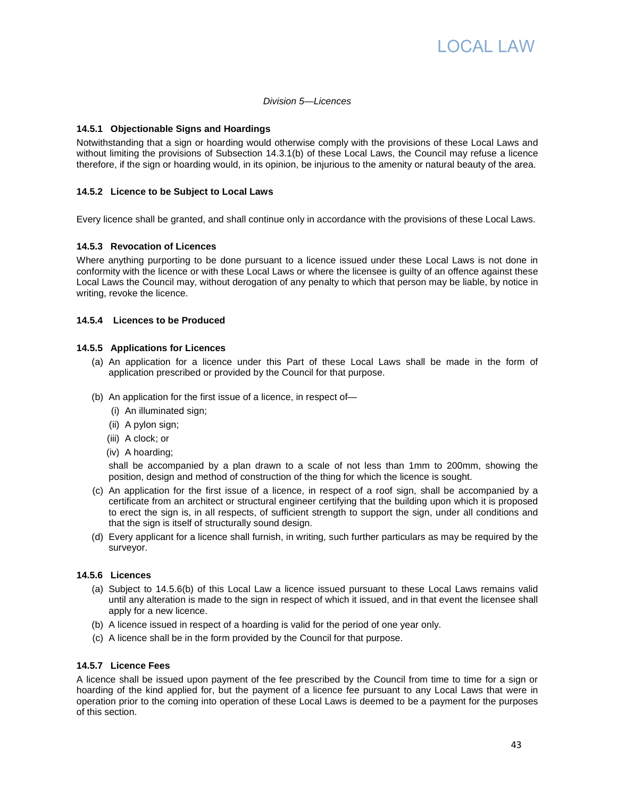

#### Division 5—Licences

### **14.5.1 Objectionable Signs and Hoardings**

Notwithstanding that a sign or hoarding would otherwise comply with the provisions of these Local Laws and without limiting the provisions of Subsection 14.3.1(b) of these Local Laws, the Council may refuse a licence therefore, if the sign or hoarding would, in its opinion, be injurious to the amenity or natural beauty of the area.

# **14.5.2 Licence to be Subject to Local Laws**

Every licence shall be granted, and shall continue only in accordance with the provisions of these Local Laws.

# **14.5.3 Revocation of Licences**

Where anything purporting to be done pursuant to a licence issued under these Local Laws is not done in conformity with the licence or with these Local Laws or where the licensee is guilty of an offence against these Local Laws the Council may, without derogation of any penalty to which that person may be liable, by notice in writing, revoke the licence.

#### **14.5.4 Licences to be Produced**

#### **14.5.5 Applications for Licences**

- (a) An application for a licence under this Part of these Local Laws shall be made in the form of application prescribed or provided by the Council for that purpose.
- (b) An application for the first issue of a licence, in respect of—
	- (i) An illuminated sign;
	- (ii) A pylon sign;
	- (iii) A clock; or
	- (iv) A hoarding;

shall be accompanied by a plan drawn to a scale of not less than 1mm to 200mm, showing the position, design and method of construction of the thing for which the licence is sought.

- (c) An application for the first issue of a licence, in respect of a roof sign, shall be accompanied by a certificate from an architect or structural engineer certifying that the building upon which it is proposed to erect the sign is, in all respects, of sufficient strength to support the sign, under all conditions and that the sign is itself of structurally sound design.
- (d) Every applicant for a licence shall furnish, in writing, such further particulars as may be required by the surveyor.

### **14.5.6 Licences**

- (a) Subject to 14.5.6(b) of this Local Law a licence issued pursuant to these Local Laws remains valid until any alteration is made to the sign in respect of which it issued, and in that event the licensee shall apply for a new licence.
- (b) A licence issued in respect of a hoarding is valid for the period of one year only.
- (c) A licence shall be in the form provided by the Council for that purpose.

# **14.5.7 Licence Fees**

A licence shall be issued upon payment of the fee prescribed by the Council from time to time for a sign or hoarding of the kind applied for, but the payment of a licence fee pursuant to any Local Laws that were in operation prior to the coming into operation of these Local Laws is deemed to be a payment for the purposes of this section.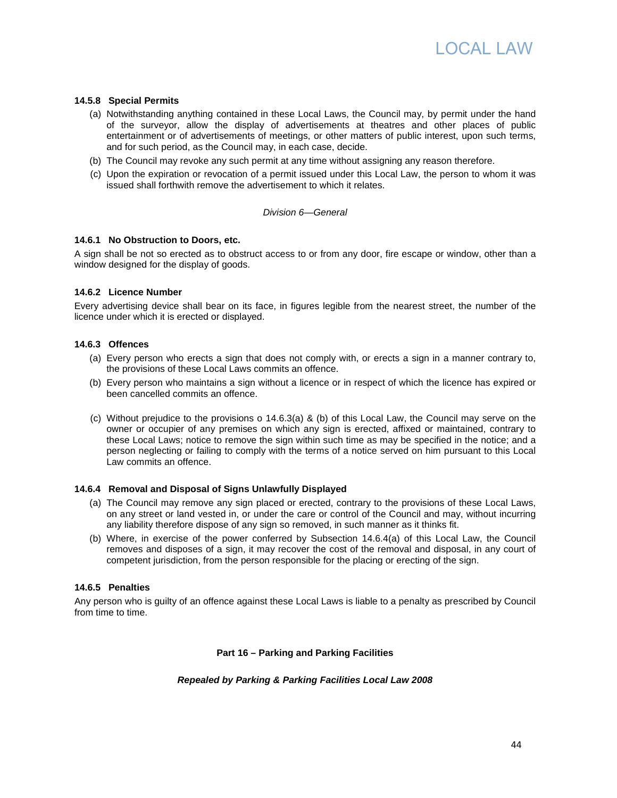

# **14.5.8 Special Permits**

- (a) Notwithstanding anything contained in these Local Laws, the Council may, by permit under the hand of the surveyor, allow the display of advertisements at theatres and other places of public entertainment or of advertisements of meetings, or other matters of public interest, upon such terms, and for such period, as the Council may, in each case, decide.
- (b) The Council may revoke any such permit at any time without assigning any reason therefore.
- (c) Upon the expiration or revocation of a permit issued under this Local Law, the person to whom it was issued shall forthwith remove the advertisement to which it relates.

#### Division 6—General

#### **14.6.1 No Obstruction to Doors, etc.**

A sign shall be not so erected as to obstruct access to or from any door, fire escape or window, other than a window designed for the display of goods.

#### **14.6.2 Licence Number**

Every advertising device shall bear on its face, in figures legible from the nearest street, the number of the licence under which it is erected or displayed.

# **14.6.3 Offences**

- (a) Every person who erects a sign that does not comply with, or erects a sign in a manner contrary to, the provisions of these Local Laws commits an offence.
- (b) Every person who maintains a sign without a licence or in respect of which the licence has expired or been cancelled commits an offence.
- (c) Without prejudice to the provisions o 14.6.3(a) & (b) of this Local Law, the Council may serve on the owner or occupier of any premises on which any sign is erected, affixed or maintained, contrary to these Local Laws; notice to remove the sign within such time as may be specified in the notice; and a person neglecting or failing to comply with the terms of a notice served on him pursuant to this Local Law commits an offence.

# **14.6.4 Removal and Disposal of Signs Unlawfully Displayed**

- (a) The Council may remove any sign placed or erected, contrary to the provisions of these Local Laws, on any street or land vested in, or under the care or control of the Council and may, without incurring any liability therefore dispose of any sign so removed, in such manner as it thinks fit.
- (b) Where, in exercise of the power conferred by Subsection 14.6.4(a) of this Local Law, the Council removes and disposes of a sign, it may recover the cost of the removal and disposal, in any court of competent jurisdiction, from the person responsible for the placing or erecting of the sign.

# **14.6.5 Penalties**

Any person who is guilty of an offence against these Local Laws is liable to a penalty as prescribed by Council from time to time.

**Part 16 – Parking and Parking Facilities** 

#### **Repealed by Parking & Parking Facilities Local Law 2008**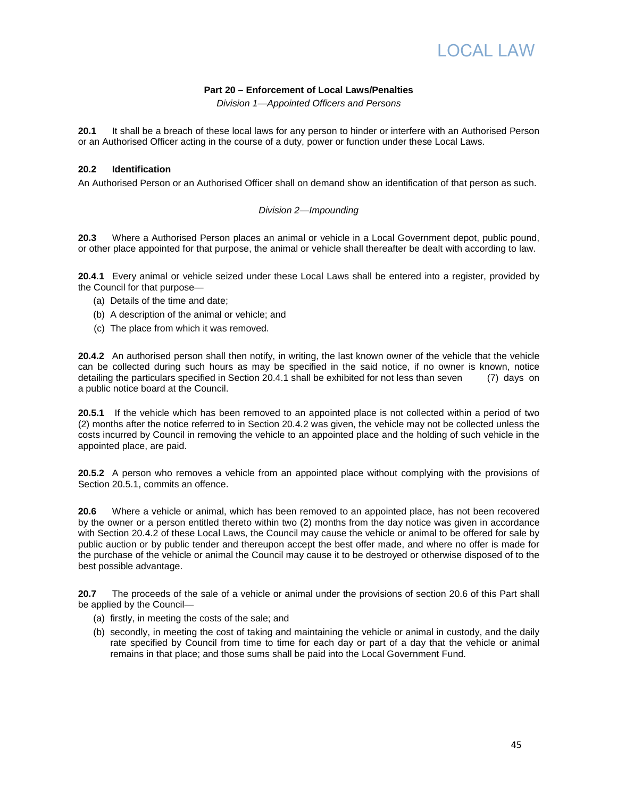# LOCAL LA:

# **Part 20 – Enforcement of Local Laws/Penalties**

Division 1—Appointed Officers and Persons

**20.1** It shall be a breach of these local laws for any person to hinder or interfere with an Authorised Person or an Authorised Officer acting in the course of a duty, power or function under these Local Laws.

### **20.2 Identification**

An Authorised Person or an Authorised Officer shall on demand show an identification of that person as such.

# Division 2—Impounding

**20.3** Where a Authorised Person places an animal or vehicle in a Local Government depot, public pound, or other place appointed for that purpose, the animal or vehicle shall thereafter be dealt with according to law.

**20.4**.**1** Every animal or vehicle seized under these Local Laws shall be entered into a register, provided by the Council for that purpose—

- (a) Details of the time and date;
- (b) A description of the animal or vehicle; and
- (c) The place from which it was removed.

**20.4.2** An authorised person shall then notify, in writing, the last known owner of the vehicle that the vehicle can be collected during such hours as may be specified in the said notice, if no owner is known, notice detailing the particulars specified in Section 20.4.1 shall be exhibited for not less than seven (7) days on a public notice board at the Council.

**20.5.1** If the vehicle which has been removed to an appointed place is not collected within a period of two (2) months after the notice referred to in Section 20.4.2 was given, the vehicle may not be collected unless the costs incurred by Council in removing the vehicle to an appointed place and the holding of such vehicle in the appointed place, are paid.

**20.5.2** A person who removes a vehicle from an appointed place without complying with the provisions of Section 20.5.1, commits an offence.

**20.6** Where a vehicle or animal, which has been removed to an appointed place, has not been recovered by the owner or a person entitled thereto within two (2) months from the day notice was given in accordance with Section 20.4.2 of these Local Laws, the Council may cause the vehicle or animal to be offered for sale by public auction or by public tender and thereupon accept the best offer made, and where no offer is made for the purchase of the vehicle or animal the Council may cause it to be destroyed or otherwise disposed of to the best possible advantage.

**20.7** The proceeds of the sale of a vehicle or animal under the provisions of section 20.6 of this Part shall be applied by the Council—

- (a) firstly, in meeting the costs of the sale; and
- (b) secondly, in meeting the cost of taking and maintaining the vehicle or animal in custody, and the daily rate specified by Council from time to time for each day or part of a day that the vehicle or animal remains in that place; and those sums shall be paid into the Local Government Fund.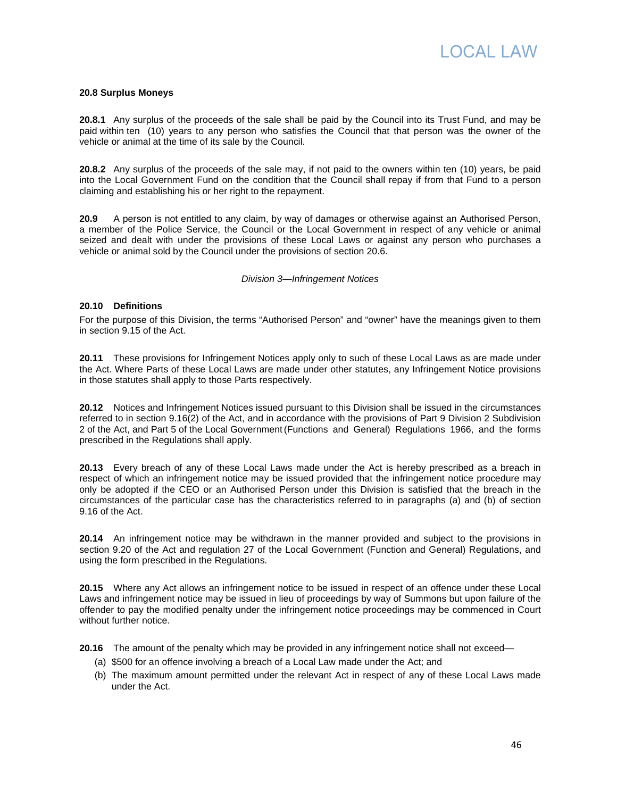

#### **20.8 Surplus Moneys**

**20.8.1** Any surplus of the proceeds of the sale shall be paid by the Council into its Trust Fund, and may be paid within ten (10) years to any person who satisfies the Council that that person was the owner of the vehicle or animal at the time of its sale by the Council.

**20.8.2** Any surplus of the proceeds of the sale may, if not paid to the owners within ten (10) years, be paid into the Local Government Fund on the condition that the Council shall repay if from that Fund to a person claiming and establishing his or her right to the repayment.

**20.9** A person is not entitled to any claim, by way of damages or otherwise against an Authorised Person, a member of the Police Service, the Council or the Local Government in respect of any vehicle or animal seized and dealt with under the provisions of these Local Laws or against any person who purchases a vehicle or animal sold by the Council under the provisions of section 20.6.

#### Division 3—Infringement Notices

# **20.10 Definitions**

For the purpose of this Division, the terms "Authorised Person" and "owner" have the meanings given to them in section 9.15 of the Act.

**20.11** These provisions for Infringement Notices apply only to such of these Local Laws as are made under the Act. Where Parts of these Local Laws are made under other statutes, any Infringement Notice provisions in those statutes shall apply to those Parts respectively.

**20.12** Notices and Infringement Notices issued pursuant to this Division shall be issued in the circumstances referred to in section 9.16(2) of the Act, and in accordance with the provisions of Part 9 Division 2 Subdivision 2 of the Act, and Part 5 of the Local Government (Functions and General) Regulations 1966, and the forms prescribed in the Regulations shall apply.

**20.13** Every breach of any of these Local Laws made under the Act is hereby prescribed as a breach in respect of which an infringement notice may be issued provided that the infringement notice procedure may only be adopted if the CEO or an Authorised Person under this Division is satisfied that the breach in the circumstances of the particular case has the characteristics referred to in paragraphs (a) and (b) of section 9.16 of the Act.

**20.14** An infringement notice may be withdrawn in the manner provided and subject to the provisions in section 9.20 of the Act and regulation 27 of the Local Government (Function and General) Regulations, and using the form prescribed in the Regulations.

**20.15** Where any Act allows an infringement notice to be issued in respect of an offence under these Local Laws and infringement notice may be issued in lieu of proceedings by way of Summons but upon failure of the offender to pay the modified penalty under the infringement notice proceedings may be commenced in Court without further notice.

**20.16** The amount of the penalty which may be provided in any infringement notice shall not exceed—

- (a) \$500 for an offence involving a breach of a Local Law made under the Act; and
- (b) The maximum amount permitted under the relevant Act in respect of any of these Local Laws made under the Act.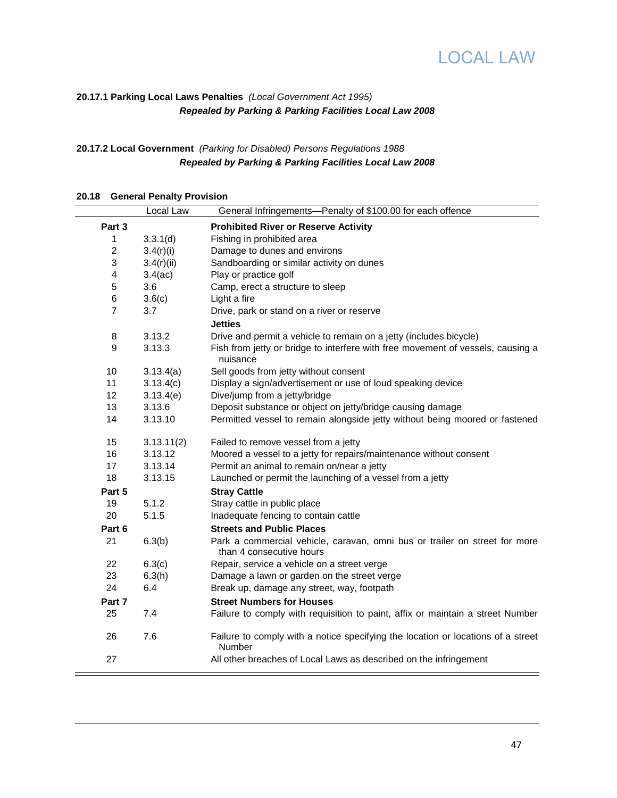



# **20.17.1 Parking Local Laws Penalties** (Local Government Act 1995) **Repealed by Parking & Parking Facilities Local Law 2008**

# **20.17.2 Local Government** (Parking for Disabled) Persons Regulations 1988 **Repealed by Parking & Parking Facilities Local Law 2008**

| 20.18 | <b>General Penalty Provision</b> |            |                                                                                                        |  |  |
|-------|----------------------------------|------------|--------------------------------------------------------------------------------------------------------|--|--|
|       |                                  | Local Law  | General Infringements-Penalty of \$100.00 for each offence                                             |  |  |
|       | Part 3                           |            | <b>Prohibited River or Reserve Activity</b>                                                            |  |  |
|       | 1                                | 3.3.1(d)   | Fishing in prohibited area                                                                             |  |  |
|       | $\overline{c}$                   | 3.4(r)(i)  | Damage to dunes and environs                                                                           |  |  |
|       | 3                                | 3.4(r)(ii) | Sandboarding or similar activity on dunes                                                              |  |  |
|       | 4                                | 3.4(ac)    | Play or practice golf                                                                                  |  |  |
|       | 5                                | 3.6        | Camp, erect a structure to sleep                                                                       |  |  |
|       | 6                                | 3.6(c)     | Light a fire                                                                                           |  |  |
|       | $\overline{7}$                   | 3.7        | Drive, park or stand on a river or reserve                                                             |  |  |
|       |                                  |            | <b>Jetties</b>                                                                                         |  |  |
|       | 8                                | 3.13.2     | Drive and permit a vehicle to remain on a jetty (includes bicycle)                                     |  |  |
|       | 9                                | 3.13.3     | Fish from jetty or bridge to interfere with free movement of vessels, causing a<br>nuisance            |  |  |
|       | 10                               | 3.13.4(a)  | Sell goods from jetty without consent                                                                  |  |  |
|       | 11                               | 3.13.4(c)  | Display a sign/advertisement or use of loud speaking device                                            |  |  |
|       | 12                               | 3.13.4(e)  | Dive/jump from a jetty/bridge                                                                          |  |  |
|       | 13                               | 3.13.6     | Deposit substance or object on jetty/bridge causing damage                                             |  |  |
|       | 14                               | 3.13.10    | Permitted vessel to remain alongside jetty without being moored or fastened                            |  |  |
|       | 15                               | 3.13.11(2) | Failed to remove vessel from a jetty                                                                   |  |  |
|       | 16                               | 3.13.12    | Moored a vessel to a jetty for repairs/maintenance without consent                                     |  |  |
|       | 17                               | 3.13.14    | Permit an animal to remain on/near a jetty                                                             |  |  |
|       | 18                               | 3.13.15    | Launched or permit the launching of a vessel from a jetty                                              |  |  |
|       | Part 5                           |            | <b>Stray Cattle</b>                                                                                    |  |  |
|       | 19                               | 5.1.2      | Stray cattle in public place                                                                           |  |  |
|       | 20                               | 5.1.5      | Inadequate fencing to contain cattle                                                                   |  |  |
|       | Part 6                           |            | <b>Streets and Public Places</b>                                                                       |  |  |
|       | 21                               | 6.3(b)     | Park a commercial vehicle, caravan, omni bus or trailer on street for more<br>than 4 consecutive hours |  |  |
|       | 22                               | 6.3(c)     | Repair, service a vehicle on a street verge                                                            |  |  |
|       | 23                               | 6.3(h)     | Damage a lawn or garden on the street verge                                                            |  |  |
|       | 24                               | 6.4        | Break up, damage any street, way, footpath                                                             |  |  |
|       | Part 7                           |            | <b>Street Numbers for Houses</b>                                                                       |  |  |
|       | 25                               | 7.4        | Failure to comply with requisition to paint, affix or maintain a street Number                         |  |  |
|       | 26                               | 7.6        | Failure to comply with a notice specifying the location or locations of a street<br>Number             |  |  |
|       | 27                               |            | All other breaches of Local Laws as described on the infringement                                      |  |  |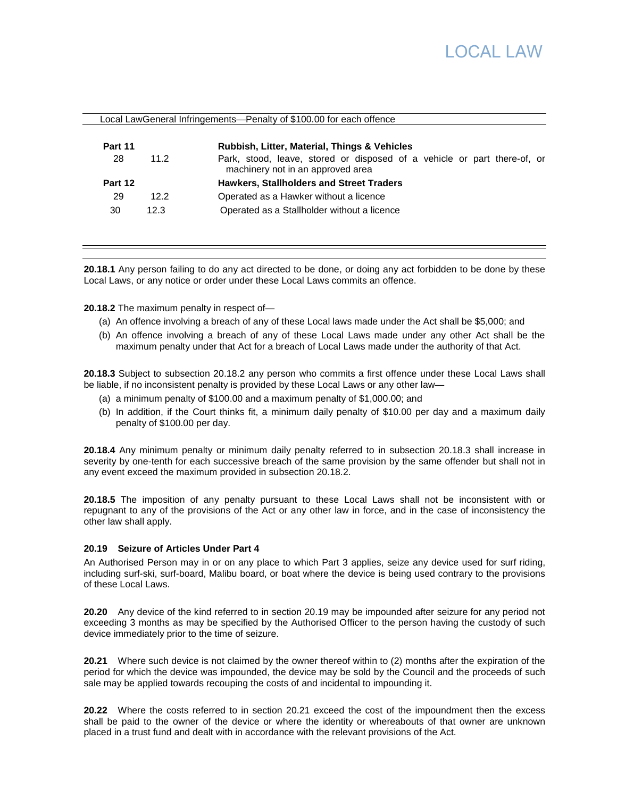# LOCAL LA:

|         |      | Local LawGeneral Infringements-Penalty of \$100.00 for each offence                                           |
|---------|------|---------------------------------------------------------------------------------------------------------------|
| Part 11 |      | Rubbish, Litter, Material, Things & Vehicles                                                                  |
| 28      | 11.2 | Park, stood, leave, stored or disposed of a vehicle or part there-of, or<br>machinery not in an approved area |
| Part 12 |      | <b>Hawkers, Stallholders and Street Traders</b>                                                               |
| 29      | 12.2 | Operated as a Hawker without a licence                                                                        |
| 30      | 12.3 | Operated as a Stallholder without a licence                                                                   |

**20.18.1** Any person failing to do any act directed to be done, or doing any act forbidden to be done by these Local Laws, or any notice or order under these Local Laws commits an offence.

**20.18.2** The maximum penalty in respect of—

- (a) An offence involving a breach of any of these Local laws made under the Act shall be \$5,000; and
- (b) An offence involving a breach of any of these Local Laws made under any other Act shall be the maximum penalty under that Act for a breach of Local Laws made under the authority of that Act.

**20.18.3** Subject to subsection 20.18.2 any person who commits a first offence under these Local Laws shall be liable, if no inconsistent penalty is provided by these Local Laws or any other law—

- (a) a minimum penalty of \$100.00 and a maximum penalty of \$1,000.00; and
- (b) In addition, if the Court thinks fit, a minimum daily penalty of \$10.00 per day and a maximum daily penalty of \$100.00 per day.

**20.18.4** Any minimum penalty or minimum daily penalty referred to in subsection 20.18.3 shall increase in severity by one-tenth for each successive breach of the same provision by the same offender but shall not in any event exceed the maximum provided in subsection 20.18.2.

**20.18.5** The imposition of any penalty pursuant to these Local Laws shall not be inconsistent with or repugnant to any of the provisions of the Act or any other law in force, and in the case of inconsistency the other law shall apply.

# **20.19 Seizure of Articles Under Part 4**

 $\mathbf{H}$ 

An Authorised Person may in or on any place to which Part 3 applies, seize any device used for surf riding, including surf-ski, surf-board, Malibu board, or boat where the device is being used contrary to the provisions of these Local Laws.

**20.20** Any device of the kind referred to in section 20.19 may be impounded after seizure for any period not exceeding 3 months as may be specified by the Authorised Officer to the person having the custody of such device immediately prior to the time of seizure.

**20.21** Where such device is not claimed by the owner thereof within to (2) months after the expiration of the period for which the device was impounded, the device may be sold by the Council and the proceeds of such sale may be applied towards recouping the costs of and incidental to impounding it.

**20.22** Where the costs referred to in section 20.21 exceed the cost of the impoundment then the excess shall be paid to the owner of the device or where the identity or whereabouts of that owner are unknown placed in a trust fund and dealt with in accordance with the relevant provisions of the Act.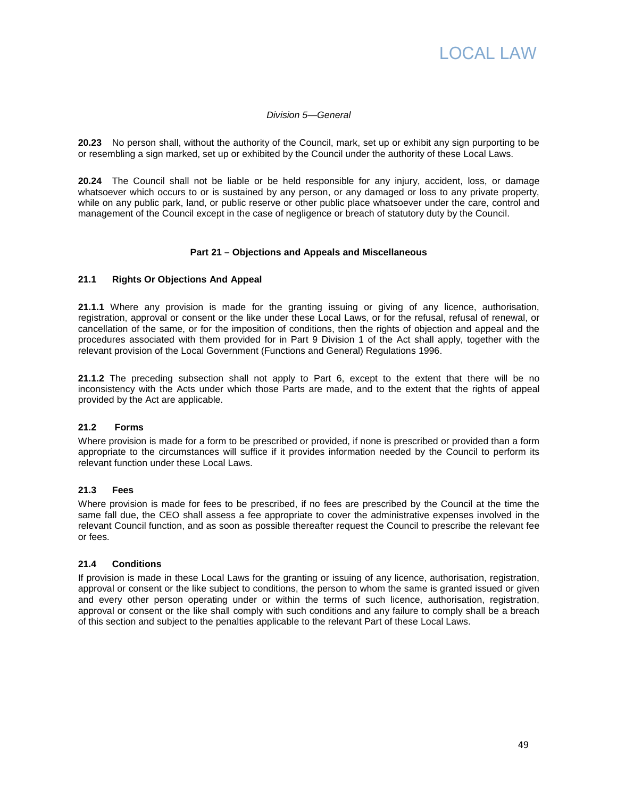

### Division 5—General

**20.23** No person shall, without the authority of the Council, mark, set up or exhibit any sign purporting to be or resembling a sign marked, set up or exhibited by the Council under the authority of these Local Laws.

**20.24** The Council shall not be liable or be held responsible for any injury, accident, loss, or damage whatsoever which occurs to or is sustained by any person, or any damaged or loss to any private property, while on any public park, land, or public reserve or other public place whatsoever under the care, control and management of the Council except in the case of negligence or breach of statutory duty by the Council.

#### **Part 21 – Objections and Appeals and Miscellaneous**

#### **21.1 Rights Or Objections And Appeal**

**21.1.1** Where any provision is made for the granting issuing or giving of any licence, authorisation, registration, approval or consent or the like under these Local Laws, or for the refusal, refusal of renewal, or cancellation of the same, or for the imposition of conditions, then the rights of objection and appeal and the procedures associated with them provided for in Part 9 Division 1 of the Act shall apply, together with the relevant provision of the Local Government (Functions and General) Regulations 1996.

**21.1.2** The preceding subsection shall not apply to Part 6, except to the extent that there will be no inconsistency with the Acts under which those Parts are made, and to the extent that the rights of appeal provided by the Act are applicable.

# **21.2 Forms**

Where provision is made for a form to be prescribed or provided, if none is prescribed or provided than a form appropriate to the circumstances will suffice if it provides information needed by the Council to perform its relevant function under these Local Laws.

#### **21.3 Fees**

Where provision is made for fees to be prescribed, if no fees are prescribed by the Council at the time the same fall due, the CEO shall assess a fee appropriate to cover the administrative expenses involved in the relevant Council function, and as soon as possible thereafter request the Council to prescribe the relevant fee or fees.

# **21.4 Conditions**

If provision is made in these Local Laws for the granting or issuing of any licence, authorisation, registration, approval or consent or the like subject to conditions, the person to whom the same is granted issued or given and every other person operating under or within the terms of such licence, authorisation, registration, approval or consent or the like shall comply with such conditions and any failure to comply shall be a breach of this section and subject to the penalties applicable to the relevant Part of these Local Laws.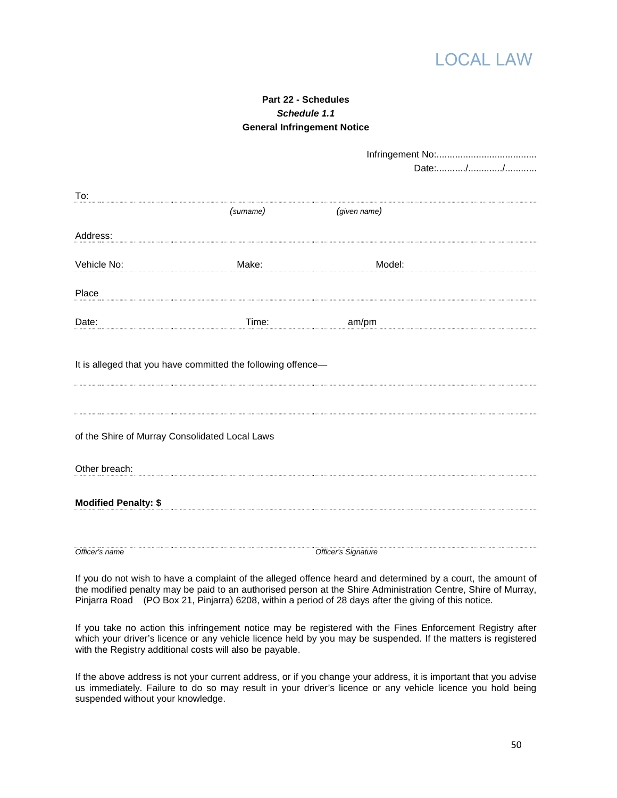

# **Part 22 - Schedules Schedule 1.1 General Infringement Notice**

| To:                                            |                                                              |                     |  |
|------------------------------------------------|--------------------------------------------------------------|---------------------|--|
|                                                | (surname)                                                    | (given name)        |  |
| Address:                                       |                                                              |                     |  |
|                                                |                                                              |                     |  |
| Vehicle No:                                    | Make:                                                        | Model:              |  |
| Place                                          |                                                              |                     |  |
|                                                |                                                              |                     |  |
| Date:                                          | Time:                                                        | am/pm               |  |
|                                                |                                                              |                     |  |
|                                                |                                                              |                     |  |
|                                                | It is alleged that you have committed the following offence- |                     |  |
|                                                |                                                              |                     |  |
|                                                |                                                              |                     |  |
|                                                |                                                              |                     |  |
| of the Shire of Murray Consolidated Local Laws |                                                              |                     |  |
|                                                |                                                              |                     |  |
|                                                |                                                              |                     |  |
| Other breach:                                  |                                                              |                     |  |
|                                                |                                                              |                     |  |
| <b>Modified Penalty: \$</b>                    |                                                              |                     |  |
|                                                |                                                              |                     |  |
|                                                |                                                              |                     |  |
| Officer's name                                 |                                                              | Officer's Signature |  |

If you do not wish to have a complaint of the alleged offence heard and determined by a court, the amount of the modified penalty may be paid to an authorised person at the Shire Administration Centre, Shire of Murray, Pinjarra Road (PO Box 21, Pinjarra) 6208, within a period of 28 days after the giving of this notice.

If you take no action this infringement notice may be registered with the Fines Enforcement Registry after which your driver's licence or any vehicle licence held by you may be suspended. If the matters is registered with the Registry additional costs will also be payable.

If the above address is not your current address, or if you change your address, it is important that you advise us immediately. Failure to do so may result in your driver's licence or any vehicle licence you hold being suspended without your knowledge.